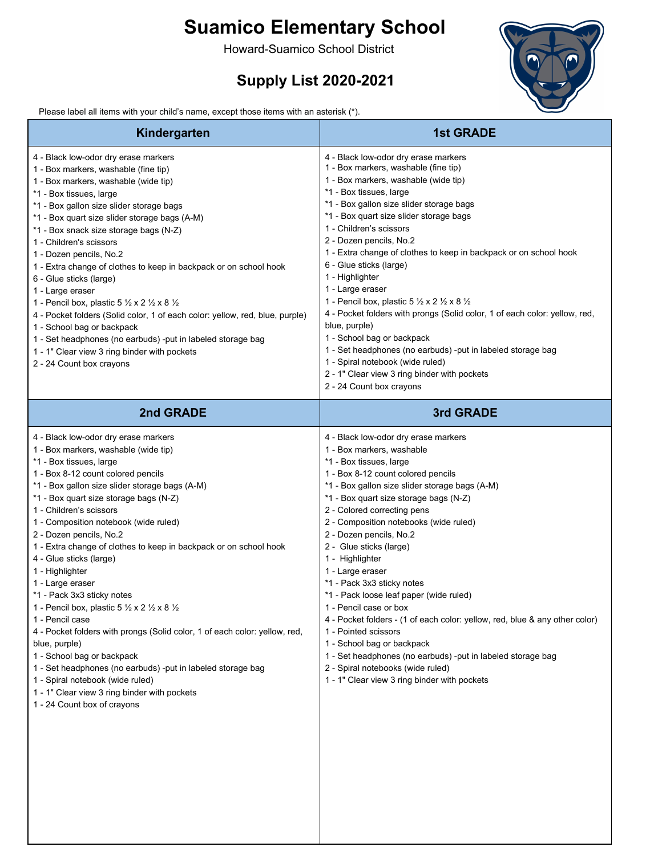## **Suamico Elementary School**

Howard-Suamico School District

## **Supply List 2020-2021**





| Kindergarten                                                                                                                                                                                                                                                                                                                                                                                                                                                                                                                                                                                                                                                                                                                                                                                                                                                                                     | <b>1st GRADE</b>                                                                                                                                                                                                                                                                                                                                                                                                                                                                                                                                                                                                                                                                                                                                                                                 |
|--------------------------------------------------------------------------------------------------------------------------------------------------------------------------------------------------------------------------------------------------------------------------------------------------------------------------------------------------------------------------------------------------------------------------------------------------------------------------------------------------------------------------------------------------------------------------------------------------------------------------------------------------------------------------------------------------------------------------------------------------------------------------------------------------------------------------------------------------------------------------------------------------|--------------------------------------------------------------------------------------------------------------------------------------------------------------------------------------------------------------------------------------------------------------------------------------------------------------------------------------------------------------------------------------------------------------------------------------------------------------------------------------------------------------------------------------------------------------------------------------------------------------------------------------------------------------------------------------------------------------------------------------------------------------------------------------------------|
| 4 - Black low-odor dry erase markers<br>1 - Box markers, washable (fine tip)<br>1 - Box markers, washable (wide tip)<br>*1 - Box tissues, large<br>*1 - Box gallon size slider storage bags<br>*1 - Box quart size slider storage bags (A-M)<br>*1 - Box snack size storage bags (N-Z)<br>1 - Children's scissors<br>1 - Dozen pencils, No.2<br>1 - Extra change of clothes to keep in backpack or on school hook<br>6 - Glue sticks (large)<br>1 - Large eraser<br>1 - Pencil box, plastic 5 $\frac{1}{2}$ x 2 $\frac{1}{2}$ x 8 $\frac{1}{2}$<br>4 - Pocket folders (Solid color, 1 of each color: yellow, red, blue, purple)<br>1 - School bag or backpack<br>1 - Set headphones (no earbuds) -put in labeled storage bag<br>1 - 1" Clear view 3 ring binder with pockets<br>2 - 24 Count box crayons                                                                                         | 4 - Black low-odor dry erase markers<br>1 - Box markers, washable (fine tip)<br>1 - Box markers, washable (wide tip)<br>*1 - Box tissues, large<br>*1 - Box gallon size slider storage bags<br>*1 - Box quart size slider storage bags<br>1 - Children's scissors<br>2 - Dozen pencils, No.2<br>1 - Extra change of clothes to keep in backpack or on school hook<br>6 - Glue sticks (large)<br>1 - Highlighter<br>1 - Large eraser<br>1 - Pencil box, plastic 5 1/2 x 2 1/2 x 8 1/2<br>4 - Pocket folders with prongs (Solid color, 1 of each color: yellow, red,<br>blue, purple)<br>1 - School bag or backpack<br>1 - Set headphones (no earbuds) -put in labeled storage bag<br>1 - Spiral notebook (wide ruled)<br>2 - 1" Clear view 3 ring binder with pockets<br>2 - 24 Count box crayons |
| 2nd GRADE                                                                                                                                                                                                                                                                                                                                                                                                                                                                                                                                                                                                                                                                                                                                                                                                                                                                                        | 3rd GRADE                                                                                                                                                                                                                                                                                                                                                                                                                                                                                                                                                                                                                                                                                                                                                                                        |
| 4 - Black low-odor dry erase markers<br>1 - Box markers, washable (wide tip)<br>*1 - Box tissues, large<br>1 - Box 8-12 count colored pencils<br>*1 - Box gallon size slider storage bags (A-M)<br>*1 - Box quart size storage bags (N-Z)<br>1 - Children's scissors<br>1 - Composition notebook (wide ruled)<br>2 - Dozen pencils, No.2<br>1 - Extra change of clothes to keep in backpack or on school hook<br>4 - Glue sticks (large)<br>1 - Highlighter<br>1 - Large eraser<br>*1 - Pack 3x3 sticky notes<br>1 - Pencil box, plastic 5 1/2 x 2 1/2 x 8 1/2<br>1 - Pencil case<br>4 - Pocket folders with prongs (Solid color, 1 of each color: yellow, red,<br>blue, purple)<br>1 - School bag or backpack<br>1 - Set headphones (no earbuds) -put in labeled storage bag<br>1 - Spiral notebook (wide ruled)<br>1 - 1" Clear view 3 ring binder with pockets<br>1 - 24 Count box of crayons | 4 - Black low-odor dry erase markers<br>1 - Box markers, washable<br>*1 - Box tissues, large<br>1 - Box 8-12 count colored pencils<br>*1 - Box gallon size slider storage bags (A-M)<br>*1 - Box quart size storage bags (N-Z)<br>2 - Colored correcting pens<br>2 - Composition notebooks (wide ruled)<br>2 - Dozen pencils, No.2<br>2 - Glue sticks (large)<br>1 - Highlighter<br>1 - Large eraser<br>*1 - Pack 3x3 sticky notes<br>*1 - Pack loose leaf paper (wide ruled)<br>1 - Pencil case or box<br>4 - Pocket folders - (1 of each color: yellow, red, blue & any other color)<br>1 - Pointed scissors<br>1 - School bag or backpack<br>1 - Set headphones (no earbuds) -put in labeled storage bag<br>2 - Spiral notebooks (wide ruled)<br>1 - 1" Clear view 3 ring binder with pockets |